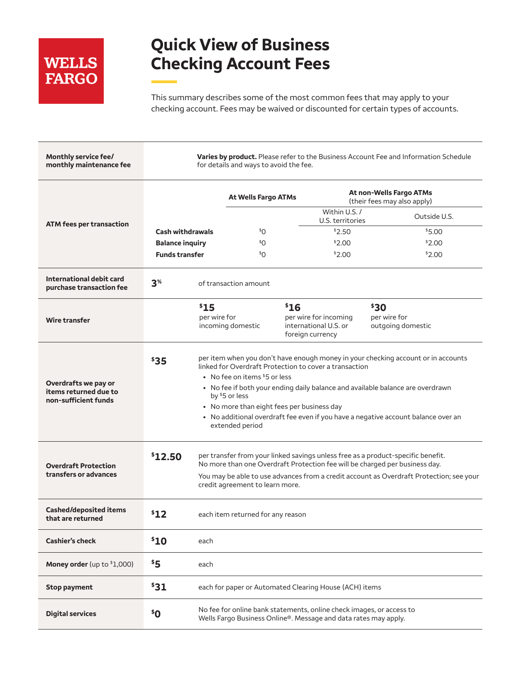# **WELLS FARGO**

# **Quick View of Business Checking Account Fees**

This summary describes some of the most common fees that may apply to your checking account. Fees may be waived or discounted for certain types of accounts.

| Monthly service fee/<br>monthly maintenance fee                       |                                         |                                                                                                                                                                                                                                                                                                                                                                                                                                         | for details and ways to avoid the fee.                                                                                                  |      |                                                                    |                                           | Varies by product. Please refer to the Business Account Fee and Information Schedule |
|-----------------------------------------------------------------------|-----------------------------------------|-----------------------------------------------------------------------------------------------------------------------------------------------------------------------------------------------------------------------------------------------------------------------------------------------------------------------------------------------------------------------------------------------------------------------------------------|-----------------------------------------------------------------------------------------------------------------------------------------|------|--------------------------------------------------------------------|-------------------------------------------|--------------------------------------------------------------------------------------|
|                                                                       |                                         |                                                                                                                                                                                                                                                                                                                                                                                                                                         | <b>At Wells Fargo ATMs</b>                                                                                                              |      | At non-Wells Fargo ATMs<br>(their fees may also apply)             |                                           |                                                                                      |
| <b>ATM fees per transaction</b>                                       |                                         |                                                                                                                                                                                                                                                                                                                                                                                                                                         |                                                                                                                                         |      | Within U.S. /<br>U.S. territories                                  |                                           | Outside U.S.                                                                         |
|                                                                       | <b>Cash withdrawals</b>                 |                                                                                                                                                                                                                                                                                                                                                                                                                                         | \$O                                                                                                                                     |      | \$2.50                                                             |                                           | \$5.00                                                                               |
|                                                                       | <b>Balance inquiry</b>                  |                                                                                                                                                                                                                                                                                                                                                                                                                                         | \$O                                                                                                                                     |      | \$2.00                                                             |                                           | \$2.00                                                                               |
|                                                                       | <b>Funds transfer</b>                   |                                                                                                                                                                                                                                                                                                                                                                                                                                         | \$O                                                                                                                                     |      | \$2.00                                                             |                                           | \$2.00                                                                               |
| International debit card<br>purchase transaction fee                  | 3 <sup>%</sup><br>of transaction amount |                                                                                                                                                                                                                                                                                                                                                                                                                                         |                                                                                                                                         |      |                                                                    |                                           |                                                                                      |
| <b>Wire transfer</b>                                                  |                                         | \$15<br>per wire for                                                                                                                                                                                                                                                                                                                                                                                                                    | incoming domestic                                                                                                                       | \$16 | per wire for incoming<br>international U.S. or<br>foreign currency | \$30<br>per wire for<br>outgoing domestic |                                                                                      |
| Overdrafts we pay or<br>items returned due to<br>non-sufficient funds | \$35                                    | per item when you don't have enough money in your checking account or in accounts<br>linked for Overdraft Protection to cover a transaction<br>• No fee on items $$5$ or less<br>• No fee if both your ending daily balance and available balance are overdrawn<br>by \$5 or less<br>• No more than eight fees per business day<br>• No additional overdraft fee even if you have a negative account balance over an<br>extended period |                                                                                                                                         |      |                                                                    |                                           |                                                                                      |
| <b>Overdraft Protection</b><br>transfers or advances                  | \$12.50                                 | per transfer from your linked savings unless free as a product-specific benefit.<br>No more than one Overdraft Protection fee will be charged per business day.<br>You may be able to use advances from a credit account as Overdraft Protection; see your<br>credit agreement to learn more.                                                                                                                                           |                                                                                                                                         |      |                                                                    |                                           |                                                                                      |
| <b>Cashed/deposited items</b><br>that are returned                    | \$12                                    |                                                                                                                                                                                                                                                                                                                                                                                                                                         | each item returned for any reason                                                                                                       |      |                                                                    |                                           |                                                                                      |
| <b>Cashier's check</b>                                                | \$10                                    | each                                                                                                                                                                                                                                                                                                                                                                                                                                    |                                                                                                                                         |      |                                                                    |                                           |                                                                                      |
| <b>Money order</b> (up to $$1,000$ )                                  | \$5                                     | each                                                                                                                                                                                                                                                                                                                                                                                                                                    |                                                                                                                                         |      |                                                                    |                                           |                                                                                      |
| <b>Stop payment</b>                                                   | \$31                                    |                                                                                                                                                                                                                                                                                                                                                                                                                                         | each for paper or Automated Clearing House (ACH) items                                                                                  |      |                                                                    |                                           |                                                                                      |
| <b>Digital services</b>                                               | $5^{\circ}$                             |                                                                                                                                                                                                                                                                                                                                                                                                                                         | No fee for online bank statements, online check images, or access to<br>Wells Fargo Business Online®. Message and data rates may apply. |      |                                                                    |                                           |                                                                                      |